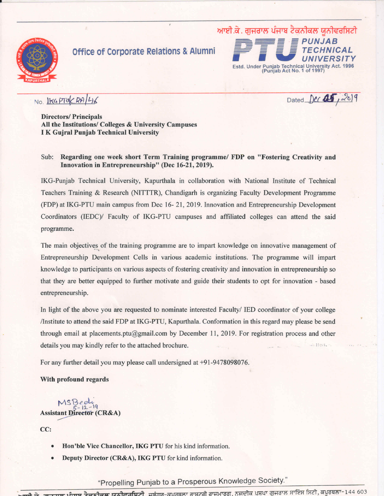

### **Office of Corporate Relations & Alumni**



NO. IKGPTUCRALLI6

Dated Dec 05, 2019

**Directors/Principals** All the Institutions/ Colleges & University Campuses **I K Guiral Punjab Technical University** 

#### Sub: Regarding one week short Term Training programme/ FDP on "Fostering Creativity and Innovation in Entrepreneurship" (Dec 16-21, 2019).

IKG-Punjab Technical University, Kapurthala in collaboration with National Institute of Technical Teachers Training & Research (NITTTR), Chandigarh is organizing Faculty Development Programme (FDP) at IKG-PTU main campus from Dec 16-21, 2019. Innovation and Entrepreneurship Development Coordinators (IEDC)/ Faculty of IKG-PTU campuses and affiliated colleges can attend the said programme.

The main objectives of the training programme are to impart knowledge on innovative management of Entrepreneurship Development Cells in various academic institutions. The programme will impart knowledge to participants on various aspects of fostering creativity and innovation in entrepreneurship so that they are better equipped to further motivate and guide their students to opt for innovation - based entrepreneurship.

In light of the above you are requested to nominate interested Faculty/ IED coordinator of your college Institute to attend the said FDP at IKG-PTU, Kapurthala. Conformation in this regard may please be send through email at placements.ptu@gmail.com by December 11, 2019. For registration process and other details you may kindly refer to the attached brochure.

For any further detail you may please call undersigned at +91-9478098076.

#### With profound regards

 $MSBeelu$ <br> $5-12-19$ **Assistant Director (CR&A)** 

CC:

- Hon'ble Vice Chancellor, IKG PTU for his kind information.
- Deputy Director (CR&A), IKG PTU for kind information.

"Propelling Punjab to a Prosperous Knowledge Society."

ਸਲ ਮੰ<mark>ਜਾਬ ਟੈਕਨੀਕਲ ਯੂਨੀਵਰਸਿਟੀ, ਜਲੰਧਰ-ਕਪਰਥਲਾ ਰਾਸ਼ਟਰੀ ਰਾਜਮਾਰਗ, ਨਜਦੀਕ ਪਸ਼ਪਾ ਗੁਜਰਾਲ ਸਾਇੰਸ ਸਿਟੀ, ਕਪੂਰਥਲਾ-144 603</mark>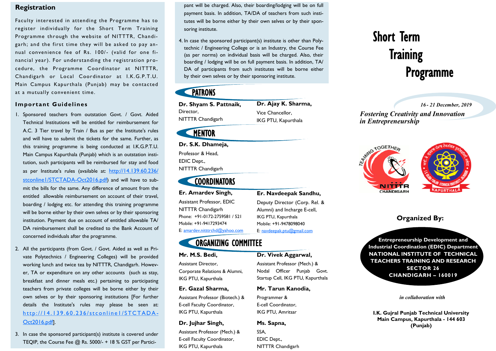#### **Registration**

Faculty interested in attending the Programme has to register individually for the Short Term Training Programme through the website of NITTTR, Chandigarh; and the first time they will be asked to pay annual convenience fee of Rs. 100/- (valid for one financial year). For understanding the registration procedure, the Programme Coordinator at NITTTR, Chandigarh or Local Coordinator at I.K.G.P.T.U. Main Campus Kapurthala (Punjab) may be contacted at a mutually convenient time.

#### **Important Guidelines**

- 1. Sponsored teachers from outstation Govt. / Govt. Aided Technical Institutions will be entitled for reimbursement for A.C. 3 Tier travel by Train / Bus as per the Institute's rules and will have to submit the tickets for the same. Further, as this training programme is being conducted at I.K.G.P.T.U. Main Campus Kapurthala (Punjab) which is an outstation institution, such participants will be reimbursed for stay and food as per Institute's rules (available at: [http://14.139.60.236/](http://14.139.60.236/stconline1/STCTADA-Oct2016.pdf) [stconline1/STCTADA-Oct2016.pdf](http://14.139.60.236/stconline1/STCTADA-Oct2016.pdf)) and will have to submit the bills for the same. Any difference of amount from the entitled allowable reimbursement on account of their travel, boarding / lodging etc. for attending this training programme will be borne either by their own selves or by their sponsoring institution. Payment due on account of entitled allowable TA/ DA reimbursement shall be credited to the Bank Account of concerned individuals after the programme.
- 2. All the participants (from Govt. / Govt. Aided as well as Private Polytechnics / Engineering Colleges) will be provided working lunch and twice tea by NITTTR, Chandigarh. However, TA or expenditure on any other accounts (such as stay, breakfast and dinner meals etc.) pertaining to participating teachers from private colleges will be borne either by their own selves or by their sponsoring institutions [For further details the Institute's rules may please be seen at: http://14.139.60.236/stconlinel/STCTADA-[Oct2016.pdf](http://14.139.60.236/stconline1/STCTADA-Oct2016.pdf)].
- 3. In case the sponsored participant(s) institute is covered under TEQIP, the Course Fee @ Rs. 5000/- + 18 % GST per Partici-

pant will be charged. Also, their boarding/lodging will be on full pant will be charged. Also, their boarding/lodging will be on full payment basis. In addition, TA/DA of teachers from such insti-payment basis. In addition, TA/DA of teachers from such institutes will be borne either by their own selves or by their spon-tutes will be borne either by their own selves or by their sponsoring institute. soring institute.

4. In case the sponsored participant(s) institute is other than Poly-4. In case the sponsored participant(s) institute is other than Polytechnic / Engineering College or is an Industry, the Course Fee technic / Engineering College or is an Industry, the Course Fee (as per norms) on individual basis will be charged. Also, their (as per norms) on individual basis will be charged. Also, their boarding / lodging will be on full payment basis. In addition, TA/ boarding / lodging will be on full payment basis. In addition, TA/ DA of participants from such institutes will be borne either DA of participants from such institutes will be borne either by their own selves or by their sponsoring institute. by their own selves or by their sponsoring institute.

## **PATRONS**

**Dr. Shyam S. Pattnaik,** Director, NITTTR Chandigarh **Dr. Ajay K. Sharma,** Vice Chancellor, IKG PTU, Kapurthala

# **MENTOR**

#### **Dr. S.K. Dhameja,**

Professor & Head, EDIC Dept., NITTTR Chandigarh

**COORDINATORS** 

#### **Er. Amardev Singh,**

Assistant Professor, EDIC NITTTR Chandigarh Phone: +91-0172-2759581 / 521 Mobile: +91-9417293474 E: amardev.nitttrchd@yahoo.com

ORGANIZING COMMITTEE

#### **Mr. M.S. Bedi,**

Assistant Director, Corporate Relations & Alumni, IKG PTU, Kapurthala

#### **Er. Gazal Sharma,**

Assistant Professor (Biotech.) & E-cell Faculty Coordinator, IKG PTU, Kapurthala

#### **Dr. Jujhar Singh,**

Assistant Professor (Mech.) & E-cell Faculty Coordinator, IKG PTU, Kapurthala

# Short Term **Training** Programme

#### *16 - 21 December, 2019*

*Fostering Creativity and Innovation in Entrepreneurship* 



#### **Organized By:**

**Entrepreneurship Development and Industrial Coordination (EDIC) Department NATIONAL INSTITUTE OF TECHNICAL TEACHERS TRAINING AND RESEARCH SECTOR 26 CHANDIGARH – 160019**

*in collaboration with*

**I.K. Gujral Punjab Technical University Main Campus, Kapurthala - 144 603 (Punjab)**

### Alumni) and Incharge E-cell, IKG PTU, Kapurthala Mobile: +91-9478098040

**Er. Navdeepak Sandhu,** Deputy Director (Corp. Rel. &

# E: navdeepak.ptu@gmail.com

#### **Dr. Vivek Aggarwal,**

Assistant Professor (Mech.) & Nodal Officer Punjab Govt. Startup Cell, IKG PTU, Kapurthala

#### **Mr. Tarun Kanodia,**

Programmer & E-cell Coordinator, IKG PTU, Amritsar

#### **Ms. Sapna,**

SSA, EDIC Dept., NITTTR Chandigarh